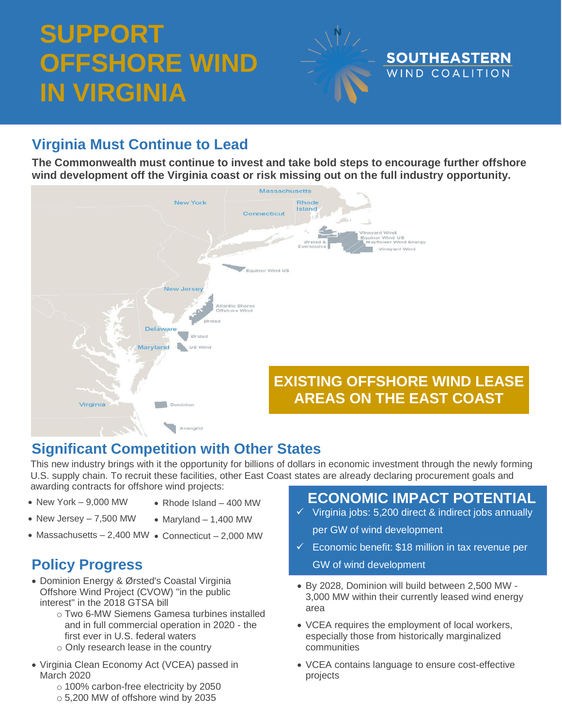# **SUPPORT OFFSHORE WIND IN VIRGINIA**



# **Virginia Must Continue to Lead**

**The Commonwealth must continue to invest and take bold steps to encourage further offshore wind development off the Virginia coast or risk missing out on the full industry opportunity.**



#### **Significant Competition with Other States**

This new industry brings with it the opportunity for billions of dollars in economic investment through the newly forming U.S. supply chain. To recruit these facilities, other East Coast states are already declaring procurement goals and awarding contracts for offshore wind projects:

- New York 9,000 MW
- Rhode Island 400 MW
- New Jersey 7,500 MW
	- $\bullet$  Maryland  $-$  1,400 MW
- Massachusetts 2,400 MW Connecticut 2,000 MW

- Dominion Energy & Ørsted's Coastal Virginia Offshore Wind Project (CVOW) "in the public interest" in the 2018 GTSA bill
	- o Two 6-MW Siemens Gamesa turbines installed and in full commercial operation in 2020 - the first ever in U.S. federal waters
	- o Only research lease in the country
- Virginia Clean Economy Act (VCEA) passed in March 2020
	- o 100% carbon-free electricity by 2050
		- o 5,200 MW of offshore wind by 2035

### **ECONOMIC IMPACT POTENTIAL**

✓ Virginia jobs: 5,200 direct & indirect jobs annually

per GW of wind development

- $\checkmark$  Economic benefit: \$18 million in tax revenue per **Policy Progress** GW of wind development
	- By 2028, Dominion will build between 2,500 MW 3,000 MW within their currently leased wind energy area
	- VCEA requires the employment of local workers, especially those from historically marginalized communities
	- VCEA contains language to ensure cost-effective projects